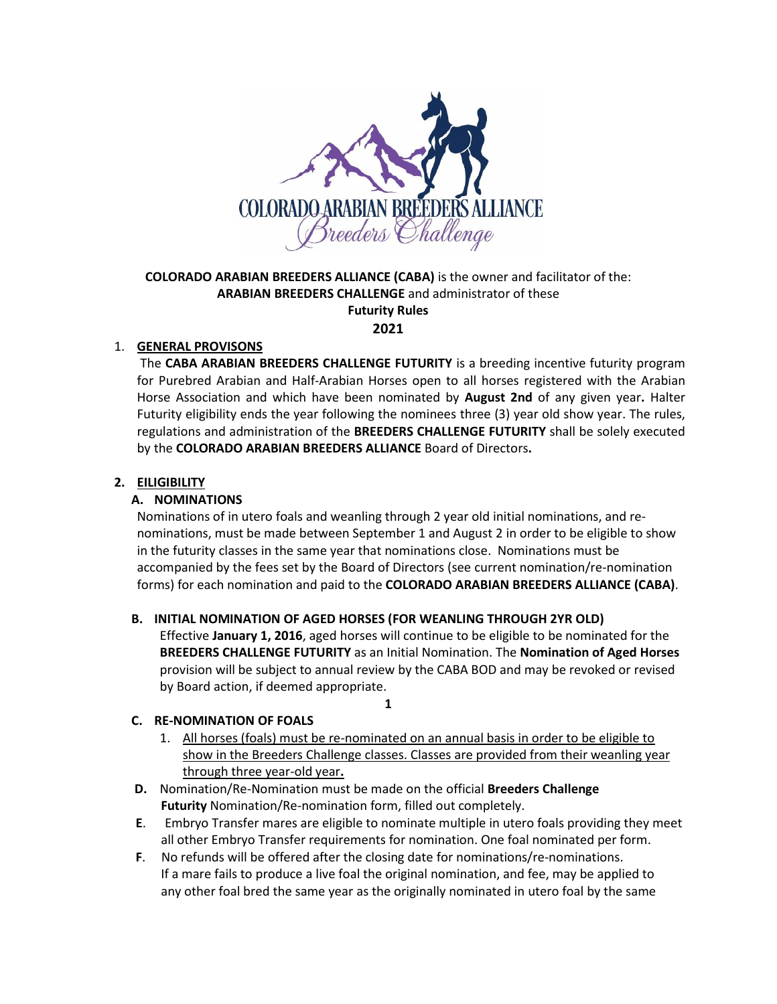

# **COLORADO ARABIAN BREEDERS ALLIANCE (CABA)** is the owner and facilitator of the: **ARABIAN BREEDERS CHALLENGE** and administrator of these **Futurity Rules**

**2021**

## 1. **GENERAL PROVISONS**

The **CABA ARABIAN BREEDERS CHALLENGE FUTURITY** is a breeding incentive futurity program for Purebred Arabian and Half-Arabian Horses open to all horses registered with the Arabian Horse Association and which have been nominated by **August 2nd** of any given year**.** Halter Futurity eligibility ends the year following the nominees three (3) year old show year. The rules, regulations and administration of the **BREEDERS CHALLENGE FUTURITY** shall be solely executed by the **COLORADO ARABIAN BREEDERS ALLIANCE** Board of Directors**.**

# **2. EILIGIBILITY**

## **A. NOMINATIONS**

Nominations of in utero foals and weanling through 2 year old initial nominations, and renominations, must be made between September 1 and August 2 in order to be eligible to show in the futurity classes in the same year that nominations close. Nominations must be accompanied by the fees set by the Board of Directors (see current nomination/re-nomination forms) for each nomination and paid to the **COLORADO ARABIAN BREEDERS ALLIANCE (CABA)**.

### **B. INITIAL NOMINATION OF AGED HORSES (FOR WEANLING THROUGH 2YR OLD)**

Effective **January 1, 2016**, aged horses will continue to be eligible to be nominated for the **BREEDERS CHALLENGE FUTURITY** as an Initial Nomination. The **Nomination of Aged Horses** provision will be subject to annual review by the CABA BOD and may be revoked or revised by Board action, if deemed appropriate.

#### **1**

# **C. RE-NOMINATION OF FOALS**

- 1. All horses (foals) must be re-nominated on an annual basis in order to be eligible to show in the Breeders Challenge classes. Classes are provided from their weanling year through three year-old year**.**
- **D.** Nomination/Re-Nomination must be made on the official **Breeders Challenge Futurity** Nomination/Re-nomination form, filled out completely.
- **E**. Embryo Transfer mares are eligible to nominate multiple in utero foals providing they meet all other Embryo Transfer requirements for nomination. One foal nominated per form.
- **F**. No refunds will be offered after the closing date for nominations/re-nominations. If a mare fails to produce a live foal the original nomination, and fee, may be applied to any other foal bred the same year as the originally nominated in utero foal by the same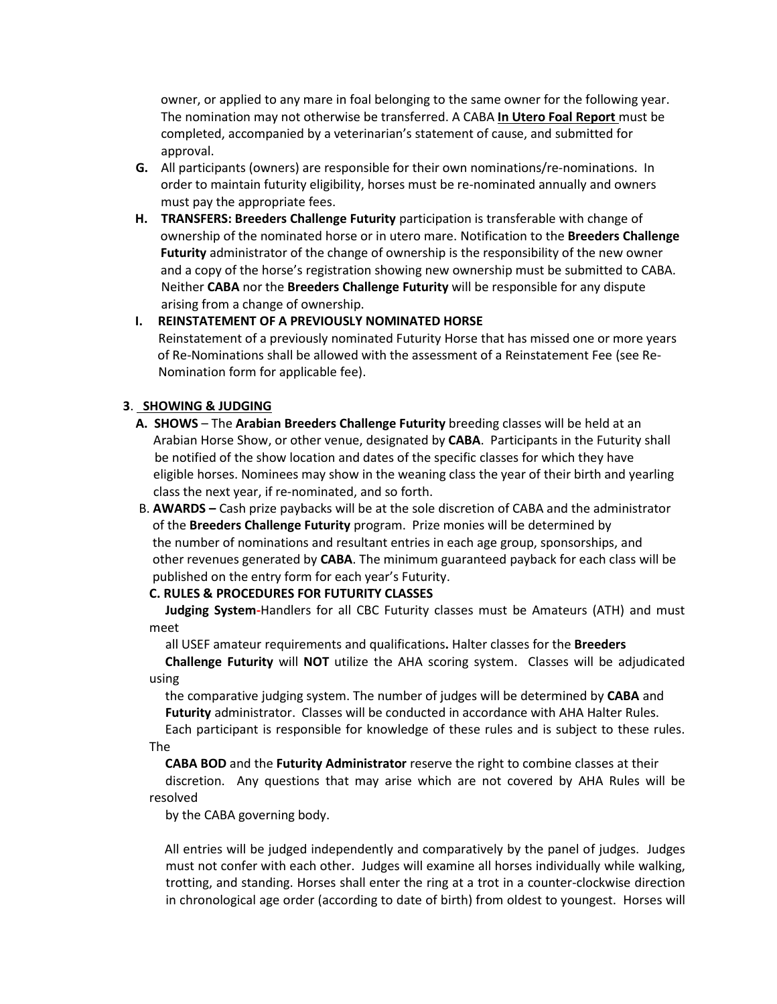owner, or applied to any mare in foal belonging to the same owner for the following year. The nomination may not otherwise be transferred. A CABA **In Utero Foal Report** must be completed, accompanied by a veterinarian's statement of cause, and submitted for approval.

- **G.** All participants (owners) are responsible for their own nominations/re-nominations. In order to maintain futurity eligibility, horses must be re-nominated annually and owners must pay the appropriate fees.
- **H. TRANSFERS: Breeders Challenge Futurity** participation is transferable with change of ownership of the nominated horse or in utero mare. Notification to the **Breeders Challenge Futurity** administrator of the change of ownership is the responsibility of the new owner and a copy of the horse's registration showing new ownership must be submitted to CABA. Neither **CABA** nor the **Breeders Challenge Futurity** will be responsible for any dispute arising from a change of ownership.

## **I. REINSTATEMENT OF A PREVIOUSLY NOMINATED HORSE**

Reinstatement of a previously nominated Futurity Horse that has missed one or more years of Re-Nominations shall be allowed with the assessment of a Reinstatement Fee (see Re-Nomination form for applicable fee).

## **3**. **SHOWING & JUDGING**

- **A. SHOWS** The **Arabian Breeders Challenge Futurity** breeding classes will be held at an Arabian Horse Show, or other venue, designated by **CABA**. Participants in the Futurity shall be notified of the show location and dates of the specific classes for which they have eligible horses. Nominees may show in the weaning class the year of their birth and yearling class the next year, if re-nominated, and so forth.
- B. **AWARDS –** Cash prize paybacks will be at the sole discretion of CABA and the administrator of the **Breeders Challenge Futurity** program. Prize monies will be determined by the number of nominations and resultant entries in each age group, sponsorships, and other revenues generated by **CABA**. The minimum guaranteed payback for each class will be published on the entry form for each year's Futurity.

### **C. RULES & PROCEDURES FOR FUTURITY CLASSES**

 **Judging System-**Handlers for all CBC Futurity classes must be Amateurs (ATH) and must meet

all USEF amateur requirements and qualifications**.** Halter classes for the **Breeders Challenge Futurity** will **NOT** utilize the AHA scoring system. Classes will be adjudicated using

the comparative judging system. The number of judges will be determined by **CABA** and **Futurity** administrator. Classes will be conducted in accordance with AHA Halter Rules.

Each participant is responsible for knowledge of these rules and is subject to these rules. The

 **CABA BOD** and the **Futurity Administrator** reserve the right to combine classes at their discretion. Any questions that may arise which are not covered by AHA Rules will be resolved

by the CABA governing body.

 All entries will be judged independently and comparatively by the panel of judges. Judges must not confer with each other. Judges will examine all horses individually while walking, trotting, and standing. Horses shall enter the ring at a trot in a counter-clockwise direction in chronological age order (according to date of birth) from oldest to youngest. Horses will